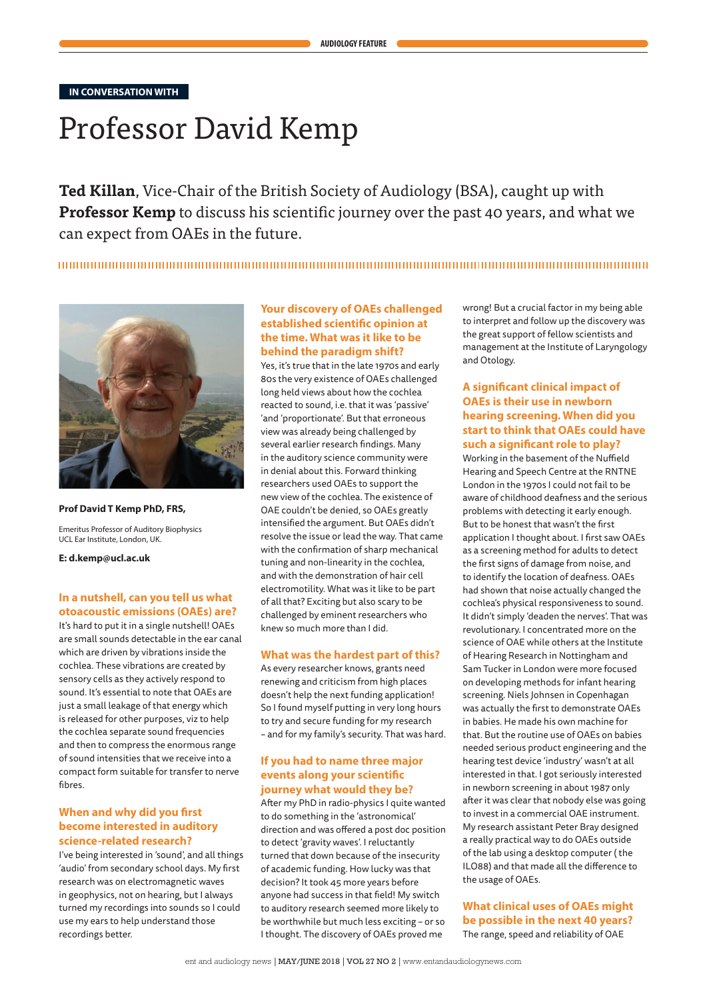**IN CONVERSATION WITH**

# Professor David Kemp

**Ted Killan**, Vice-Chair of the British Society of Audiology (BSA), caught up with **Professor Kemp** to discuss his scientific journey over the past 40 years, and what we can expect from OAEs in the future.



**Prof David T Kemp PhD, FRS,**

Emeritus Professor of Auditory Biophysics UCL Ear Institute, London, UK.

**E: d.kemp@ucl.ac.uk**

## **In a nutshell, can you tell us what otoacoustic emissions (OAEs) are?**

It's hard to put it in a single nutshell! OAEs are small sounds detectable in the ear canal which are driven by vibrations inside the cochlea. These vibrations are created by sensory cells as they actively respond to sound. It's essential to note that OAEs are just a small leakage of that energy which is released for other purposes, viz to help the cochlea separate sound frequencies and then to compress the enormous range of sound intensities that we receive into a compact form suitable for transfer to nerve fibres.

## **When and why did you first become interested in auditory science-related research?**

I've being interested in 'sound', and all things 'audio' from secondary school days. My first research was on electromagnetic waves in geophysics, not on hearing, but I always turned my recordings into sounds so I could use my ears to help understand those recordings better.

## **Your discovery of OAEs challenged established scientific opinion at the time. What was it like to be behind the paradigm shift?**

Yes, it's true that in the late 1970s and early 80s the very existence of OAEs challenged long held views about how the cochlea reacted to sound, i.e. that it was 'passive' 'and 'proportionate'. But that erroneous view was already being challenged by several earlier research findings. Many in the auditory science community were in denial about this. Forward thinking researchers used OAEs to support the new view of the cochlea. The existence of OAE couldn't be denied, so OAEs greatly intensified the argument. But OAEs didn't resolve the issue or lead the way. That came with the confirmation of sharp mechanical tuning and non-linearity in the cochlea, and with the demonstration of hair cell electromotility. What was it like to be part of all that? Exciting but also scary to be challenged by eminent researchers who knew so much more than I did.

#### **What was the hardest part of this?**

As every researcher knows, grants need renewing and criticism from high places doesn't help the next funding application! So I found myself putting in very long hours to try and secure funding for my research – and for my family's security. That was hard.

#### **If you had to name three major events along your scientific journey what would they be?**

After my PhD in radio-physics I quite wanted to do something in the 'astronomical' direction and was offered a post doc position to detect 'gravity waves'. I reluctantly turned that down because of the insecurity of academic funding. How lucky was that decision? It took 45 more years before anyone had success in that field! My switch to auditory research seemed more likely to be worthwhile but much less exciting – or so I thought. The discovery of OAEs proved me

wrong! But a crucial factor in my being able to interpret and follow up the discovery was the great support of fellow scientists and management at the Institute of Laryngology and Otology.

## **A significant clinical impact of OAEs is their use in newborn hearing screening. When did you start to think that OAEs could have such a significant role to play?**

Working in the basement of the Nuffield Hearing and Speech Centre at the RNTNE London in the 1970s I could not fail to be aware of childhood deafness and the serious problems with detecting it early enough. But to be honest that wasn't the first application I thought about. I first saw OAEs as a screening method for adults to detect the first signs of damage from noise, and to identify the location of deafness. OAEs had shown that noise actually changed the cochlea's physical responsiveness to sound. It didn't simply 'deaden the nerves'. That was revolutionary. I concentrated more on the science of OAE while others at the Institute of Hearing Research in Nottingham and Sam Tucker in London were more focused on developing methods for infant hearing screening. Niels Johnsen in Copenhagan was actually the first to demonstrate OAEs in babies. He made his own machine for that. But the routine use of OAEs on babies needed serious product engineering and the hearing test device 'industry' wasn't at all interested in that. I got seriously interested in newborn screening in about 1987 only after it was clear that nobody else was going to invest in a commercial OAE instrument. My research assistant Peter Bray designed a really practical way to do OAEs outside of the lab using a desktop computer ( the ILO88) and that made all the difference to the usage of OAEs.

## **What clinical uses of OAEs might be possible in the next 40 years?** The range, speed and reliability of OAE